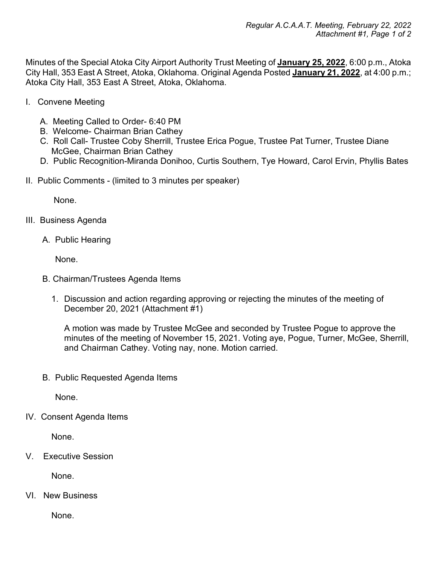Minutes of the Special Atoka City Airport Authority Trust Meeting of **January 25, 2022**, 6:00 p.m., Atoka City Hall, 353 East A Street, Atoka, Oklahoma. Original Agenda Posted **January 21, 2022**, at 4:00 p.m.; Atoka City Hall, 353 East A Street, Atoka, Oklahoma.

- I. Convene Meeting
	- A. Meeting Called to Order- 6:40 PM
	- B. Welcome- Chairman Brian Cathey
	- C. Roll Call- Trustee Coby Sherrill, Trustee Erica Pogue, Trustee Pat Turner, Trustee Diane McGee, Chairman Brian Cathey
	- D. Public Recognition-Miranda Donihoo, Curtis Southern, Tye Howard, Carol Ervin, Phyllis Bates
- II. Public Comments (limited to 3 minutes per speaker)

None.

- III. Business Agenda
	- A. Public Hearing

None.

- B. Chairman/Trustees Agenda Items
	- 1. Discussion and action regarding approving or rejecting the minutes of the meeting of December 20, 2021 (Attachment #1)

A motion was made by Trustee McGee and seconded by Trustee Pogue to approve the minutes of the meeting of November 15, 2021. Voting aye, Pogue, Turner, McGee, Sherrill, and Chairman Cathey. Voting nay, none. Motion carried.

B. Public Requested Agenda Items

None.

IV. Consent Agenda Items

None.

V. Executive Session

None.

VI. New Business

None.